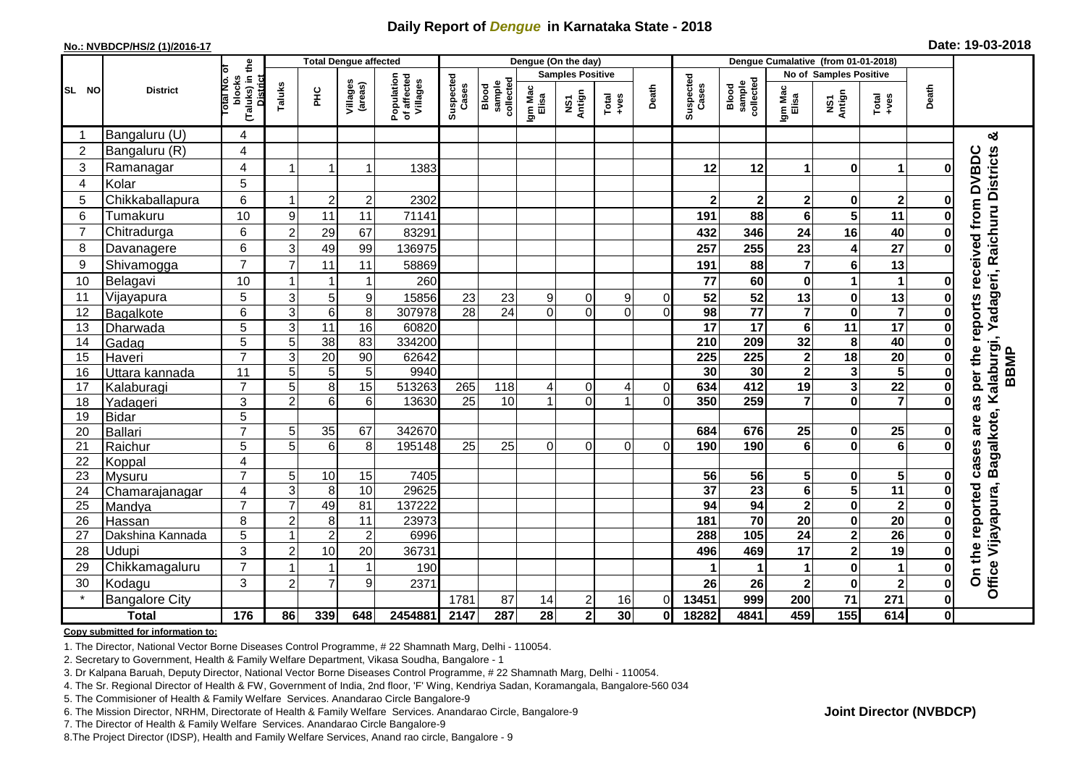## **Daily Report of** *Dengue* **in Karnataka State - 2018**

#### **No.: NVBDCP/HS/2 (1)/2016-17**

|  | Date: 19-03-2018 |  |
|--|------------------|--|
|--|------------------|--|

|                |                            |                                                    | <b>Total Dengue affected</b> |                 |                     |                                       |                    |                             |                  | Dengue (On the day)     |                                                              |                |                         |                              |                         |                               |                         |                      |                                                                    |
|----------------|----------------------------|----------------------------------------------------|------------------------------|-----------------|---------------------|---------------------------------------|--------------------|-----------------------------|------------------|-------------------------|--------------------------------------------------------------|----------------|-------------------------|------------------------------|-------------------------|-------------------------------|-------------------------|----------------------|--------------------------------------------------------------------|
|                | ō                          |                                                    |                              |                 |                     |                                       |                    |                             |                  | <b>Samples Positive</b> |                                                              |                |                         |                              |                         | <b>No of Samples Positive</b> |                         |                      |                                                                    |
| SL NO          | <b>District</b>            | (Taluks) in the<br>blocks<br>Total No.<br>District | Taluks                       | ΞÉ              | Villages<br>(areas) | Population<br>of affected<br>Villages | Suspected<br>Cases | Blood<br>sample<br>collecte | Igm Mac<br>Elisa | NS1<br>Antign           | $\begin{array}{c}\n\text{Total} \\ \text{Area}\n\end{array}$ | Death          | Suspected<br>Cases      | Blood<br>sample<br>collected | Igm Mac<br>Elisa        | NS1<br>Antign                 | Total<br>+ves           | Death                |                                                                    |
|                | Bangaluru (U)              | $\overline{4}$                                     |                              |                 |                     |                                       |                    |                             |                  |                         |                                                              |                |                         |                              |                         |                               |                         |                      | య                                                                  |
| $\overline{2}$ | Bangaluru (R)              | $\overline{\mathbf{4}}$                            |                              |                 |                     |                                       |                    |                             |                  |                         |                                                              |                |                         |                              |                         |                               |                         |                      |                                                                    |
| 3              | Ramanagar                  | 4                                                  |                              | -1              | 1                   | 1383                                  |                    |                             |                  |                         |                                                              |                | 12                      | 12                           | 1                       | $\mathbf 0$                   | 1                       | 0                    | adageri, Raichuru Districts<br>per the reports received from DVBDC |
| 4              | Kolar                      | 5                                                  |                              |                 |                     |                                       |                    |                             |                  |                         |                                                              |                |                         |                              |                         |                               |                         |                      |                                                                    |
| 5              | Chikkaballapura            | $\,6$                                              |                              | $\overline{2}$  | $\overline{c}$      | 2302                                  |                    |                             |                  |                         |                                                              |                | $\overline{\mathbf{2}}$ | $\mathbf 2$                  | $\overline{2}$          | $\bf{0}$                      | $\mathbf 2$             | 0                    |                                                                    |
| 6              | Tumakuru                   | 10                                                 | 9                            | 11              | 11                  | 71141                                 |                    |                             |                  |                         |                                                              |                | 191                     | 88                           | 6                       | 5                             | 11                      | O                    |                                                                    |
| $\overline{7}$ | Chitradurga                | 6                                                  | $\overline{2}$               | 29              | 67                  | 83291                                 |                    |                             |                  |                         |                                                              |                | 432                     | 346                          | 24                      | 16                            | 40                      |                      |                                                                    |
| 8              | Davanagere                 | $6\phantom{1}$                                     | 3                            | 49              | 99                  | 136975                                |                    |                             |                  |                         |                                                              |                | 257                     | 255                          | 23                      | 4                             | $\overline{27}$         | 0                    |                                                                    |
| 9              | Shivamogga                 | $\overline{7}$                                     | $\overline{7}$               | 11              | 11                  | 58869                                 |                    |                             |                  |                         |                                                              |                | 191                     | 88                           | $\overline{7}$          | $6\phantom{1}6$               | 13                      |                      |                                                                    |
| 10             | Belagavi                   | 10                                                 |                              |                 | 1                   | 260                                   |                    |                             |                  |                         |                                                              |                | 77                      | 60                           | $\mathbf 0$             | $\mathbf{1}$                  | 1                       | 0                    |                                                                    |
| 11             | Vijayapura                 | $\overline{5}$                                     | $\mathbf{3}$                 | 5               | $\boldsymbol{9}$    | 15856                                 | 23                 | 23                          | 9                | $\Omega$                | 9                                                            | $\overline{0}$ | 52                      | 52                           | 13                      | $\bf{0}$                      | 13                      |                      |                                                                    |
| 12             | Bagalkote                  | 6                                                  | $\ensuremath{\mathsf{3}}$    | $\,6\,$         | 8                   | 307978                                | $\overline{28}$    | $\overline{24}$             | $\Omega$         | $\overline{0}$          | $\overline{0}$                                               | $\Omega$       | $\overline{98}$         | $\overline{77}$              | $\overline{7}$          | $\mathbf 0$                   | $\overline{\mathbf{7}}$ | 0                    |                                                                    |
| 13             | Dharwada                   | $\overline{5}$                                     | $\mathbf{3}$                 | 11              | 16                  | 60820                                 |                    |                             |                  |                         |                                                              |                | $\overline{17}$         | $\overline{17}$              | 6                       | $\overline{11}$               | $\overline{17}$         | $\bf{0}$             | ≻                                                                  |
| 14             | Gadag                      | $\overline{5}$                                     | 5                            | 38              | 83                  | 334200                                |                    |                             |                  |                         |                                                              |                | 210                     | 209                          | 32                      | 8                             | 40                      | 0                    |                                                                    |
| 15             | Haveri                     | $\overline{7}$                                     | $\overline{3}$               | $\overline{20}$ | 90                  | 62642                                 |                    |                             |                  |                         |                                                              |                | $\overline{225}$        | 225                          | $\overline{\mathbf{2}}$ | $\overline{18}$               | $\overline{20}$         | 0                    | alaburgi,<br>BBMP                                                  |
| 16             | Uttara kannada             | $\overline{11}$                                    | 5                            | 5               | 5                   | 9940                                  |                    |                             |                  |                         |                                                              |                | 30                      | $\overline{30}$              | $\overline{\mathbf{2}}$ | $\mathbf{3}$                  | 5                       | $\bf{0}$             |                                                                    |
| 17             | Kalaburagi                 | $\overline{7}$                                     | 5                            | 8               | 15                  | 513263                                | 265                | 118                         | $\vert$          | $\overline{0}$          | 4                                                            | $\overline{0}$ | 634                     | 412                          | 19                      | $\mathbf{3}$                  | $\overline{22}$         | $\mathbf 0$          |                                                                    |
| 18             | Yadageri                   | 3                                                  | $\overline{2}$               | $6\phantom{1}6$ | 6                   | 13630                                 | 25                 | 10                          | 1                | $\overline{0}$          |                                                              | $\Omega$       | 350                     | 259                          | 7                       | $\mathbf 0$                   | $\overline{7}$          | $\Omega$             | 3g                                                                 |
| 19             | <b>Bidar</b>               | 5                                                  |                              |                 |                     |                                       |                    |                             |                  |                         |                                                              |                |                         |                              |                         |                               |                         |                      | are                                                                |
| 20             | Ballari                    | $\overline{7}$                                     | 5                            | 35              | 67                  | 342670                                |                    |                             |                  |                         |                                                              |                | 684                     | 676                          | 25                      | $\mathbf 0$                   | 25                      | 0                    |                                                                    |
| 21             | Raichur                    | 5                                                  | 5                            | $6\phantom{1}6$ | 8                   | 195148                                | 25                 | 25                          | $\Omega$         | $\Omega$                | $\Omega$                                                     | $\Omega$       | 190                     | 190                          | $\overline{\mathbf{6}}$ | $\mathbf 0$                   | $\bullet$               | O                    | Bagalkote, K<br>cases                                              |
| 22             | Koppal                     | 4                                                  |                              |                 |                     |                                       |                    |                             |                  |                         |                                                              |                |                         |                              |                         |                               |                         |                      |                                                                    |
| 23             | Mysuru                     | $\overline{7}$                                     | 5                            | 10              | 15                  | 7405                                  |                    |                             |                  |                         |                                                              |                | 56                      | 56                           | 5                       | $\bf{0}$                      | $5\phantom{.0}$         | 0                    |                                                                    |
| 24<br>25       | Chamarajanagar             | 4<br>$\overline{7}$                                | 3<br>$\overline{7}$          | 8<br>49         | 10<br>81            | 29625<br>137222                       |                    |                             |                  |                         |                                                              |                | $\overline{37}$<br>94   | $\overline{23}$<br>94        | $\bf 6$<br>$\mathbf{2}$ | 5<br>$\bf{0}$                 | 11<br>$\mathbf{2}$      | $\bf{0}$<br>$\bf{0}$ |                                                                    |
| 26             | Mandya                     | 8                                                  | $\overline{2}$               | 8               | 11                  | 23973                                 |                    |                             |                  |                         |                                                              |                | 181                     | $\overline{70}$              | $\overline{20}$         | $\mathbf 0$                   | $\overline{20}$         | 0                    |                                                                    |
| 27             | Hassan<br>Dakshina Kannada | 5                                                  |                              | $\overline{2}$  | $\overline{2}$      | 6996                                  |                    |                             |                  |                         |                                                              |                | 288                     | 105                          | $\overline{24}$         | $\overline{\mathbf{2}}$       | $\overline{26}$         | 0                    |                                                                    |
| 28             | Udupi                      | 3                                                  | $\overline{2}$               | 10              | 20                  | 36731                                 |                    |                             |                  |                         |                                                              |                | 496                     | 469                          | 17                      | $\overline{\mathbf{2}}$       | 19                      | 0                    |                                                                    |
| 29             | Chikkamagaluru             | $\overline{7}$                                     |                              |                 | 1                   | 190                                   |                    |                             |                  |                         |                                                              |                |                         |                              | 1                       | $\mathbf 0$                   | $\mathbf 1$             | O                    | On the reported<br>Office Vijayapura,                              |
| 30             | Kodagu                     | 3                                                  | $\overline{2}$               | $\overline{7}$  | 9                   | 2371                                  |                    |                             |                  |                         |                                                              |                | 26                      | 26                           | $\overline{\mathbf{2}}$ | $\bf{0}$                      | $\mathbf{2}$            | 0                    |                                                                    |
| $\star$        | <b>Bangalore City</b>      |                                                    |                              |                 |                     |                                       | 1781               | 87                          | 14               | $\overline{\mathbf{c}}$ | 16                                                           | $\Omega$       | 13451                   | 999                          | 200                     | 71                            | 271                     | $\bf{0}$             |                                                                    |
|                | <b>Total</b>               | 176                                                | 86                           | 339             | 648                 | 2454881                               | 2147               | 287                         | 28               | $\mathbf{2}$            | 30                                                           | $\mathbf{0}$   | 18282                   | 4841                         | 459                     | 155                           | 614                     | $\mathbf{0}$         |                                                                    |
|                |                            |                                                    |                              |                 |                     |                                       |                    |                             |                  |                         |                                                              |                |                         |                              |                         |                               |                         |                      |                                                                    |

#### **Copy submitted for information to:**

1. The Director, National Vector Borne Diseases Control Programme, # 22 Shamnath Marg, Delhi - 110054.

2. Secretary to Government, Health & Family Welfare Department, Vikasa Soudha, Bangalore - 1

3. Dr Kalpana Baruah, Deputy Director, National Vector Borne Diseases Control Programme, # 22 Shamnath Marg, Delhi - 110054.

- 4. The Sr. Regional Director of Health & FW, Government of India, 2nd floor, 'F' Wing, Kendriya Sadan, Koramangala, Bangalore-560 034
- 5. The Commisioner of Health & Family Welfare Services. Anandarao Circle Bangalore-9
- 6. The Mission Director, NRHM, Directorate of Health & Family Welfare Services. Anandarao Circle, Bangalore-9

7. The Director of Health & Family Welfare Services. Anandarao Circle Bangalore-9

8. The Project Director (IDSP), Health and Family Welfare Services, Anand rao circle, Bangalore - 9